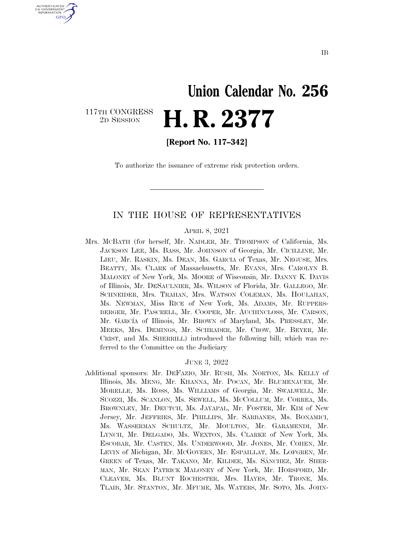# **Union Calendar No. 256**  2D SESSION **H. R. 2377**

117TH CONGRESS<br>2D SESSION

U.S. GOVERNMENT **GPO** 

**[Report No. 117–342]** 

To authorize the issuance of extreme risk protection orders.

### IN THE HOUSE OF REPRESENTATIVES

#### APRIL 8, 2021

Mrs. MCBATH (for herself, Mr. NADLER, Mr. THOMPSON of California, Ms. JACKSON LEE, Ms. BASS, Mr. JOHNSON of Georgia, Mr. CICILLINE, Mr. LIEU, Mr. RASKIN, Ms. DEAN, Ms. GARCIA of Texas, Mr. NEGUSE, Mrs. BEATTY, Ms. CLARK of Massachusetts, Mr. EVANS, Mrs. CAROLYN B. MALONEY of New York, Ms. MOORE of Wisconsin, Mr. DANNY K. DAVIS of Illinois, Mr. DESAULNIER, Ms. WILSON of Florida, Mr. GALLEGO, Mr. SCHNEIDER, Mrs. TRAHAN, Mrs. WATSON COLEMAN, Ms. HOULAHAN, Ms. NEWMAN, Miss RICE of New York, Ms. ADAMS, Mr. RUPPERS-BERGER, Mr. PASCRELL, Mr. COOPER, Mr. AUCHINCLOSS, Mr. CARSON, Mr. GARCÍA of Illinois, Mr. BROWN of Maryland, Ms. PRESSLEY, Mr. MEEKS, Mrs. DEMINGS, Mr. SCHRADER, Mr. CROW, Mr. BEYER, Mr. CRIST, and Ms. SHERRILL) introduced the following bill; which was referred to the Committee on the Judiciary

#### JUNE 3, 2022

Additional sponsors: Mr. DEFAZIO, Mr. RUSH, Ms. NORTON, Ms. KELLY of Illinois, Ms. MENG, Mr. KHANNA, Mr. POCAN, Mr. BLUMENAUER, Mr. MORELLE, Ms. ROSS, Ms. WILLIAMS of Georgia, Mr. SWALWELL, Mr. SUOZZI, Ms. SCANLON, Ms. SEWELL, Ms. MCCOLLUM, Mr. CORREA, Ms. BROWNLEY, Mr. DEUTCH, Ms. JAYAPAL, Mr. FOSTER, Mr. KIM of New Jersey, Mr. JEFFRIES, Mr. PHILLIPS, Mr. SARBANES, Ms. BONAMICI, Ms. WASSERMAN SCHULTZ, Mr. MOULTON, Mr. GARAMENDI, Mr. LYNCH, Mr. DELGADO, Ms. WEXTON, Ms. CLARKE of New York, Ms. ESCOBAR, Mr. CASTEN, Ms. UNDERWOOD, Mr. JONES, Mr. COHEN, Mr. LEVIN of Michigan, Mr. MCGOVERN, Mr. ESPAILLAT, Ms. LOFGREN, Mr. GREEN of Texas, Mr. TAKANO, Mr. KILDEE, Ms. SÁNCHEZ, Mr. SHER-MAN, Mr. SEAN PATRICK MALONEY of New York, Mr. HORSFORD, Mr. CLEAVER, Ms. BLUNT ROCHESTER, Mrs. HAYES, Mr. TRONE, Ms. TLAIB, Mr. STANTON, Mr. MFUME, Ms. WATERS, Mr. SOTO, Ms. JOHN-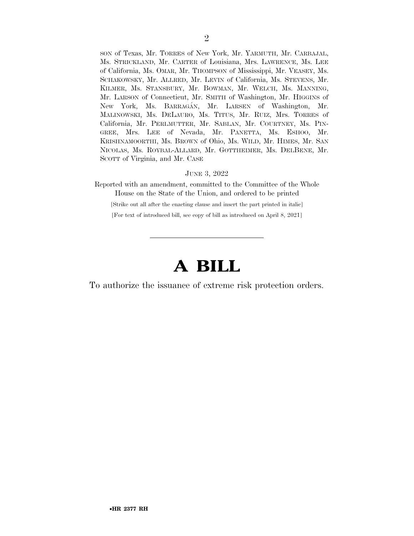SON of Texas, Mr. TORRES of New York, Mr. YARMUTH, Mr. CARBAJAL, Ms. STRICKLAND, Mr. CARTER of Louisiana, Mrs. LAWRENCE, Ms. LEE of California, Ms. OMAR, Mr. THOMPSON of Mississippi, Mr. VEASEY, Ms. SCHAKOWSKY, Mr. ALLRED, Mr. LEVIN of California, Ms. STEVENS, Mr. KILMER, Ms. STANSBURY, Mr. BOWMAN, Mr. WELCH, Ms. MANNING, Mr. LARSON of Connecticut, Mr. SMITH of Washington, Mr. HIGGINS of New York, Ms. BARRAGA´N, Mr. LARSEN of Washington, Mr. MALINOWSKI, Ms. DELAURO, Ms. TITUS, Mr. RUIZ, Mrs. TORRES of California, Mr. PERLMUTTER, Mr. SABLAN, Mr. COURTNEY, Ms. PIN-GREE, Mrs. LEE of Nevada, Mr. PANETTA, Ms. ESHOO, Mr. KRISHNAMOORTHI, Ms. BROWN of Ohio, Ms. WILD, Mr. HIMES, Mr. SAN NICOLAS, Ms. ROYBAL-ALLARD, Mr. GOTTHEIMER, Ms. DELBENE, Mr. SCOTT of Virginia, and Mr. CASE

#### JUNE 3, 2022

Reported with an amendment, committed to the Committee of the Whole House on the State of the Union, and ordered to be printed

[Strike out all after the enacting clause and insert the part printed in italic]

[For text of introduced bill, see copy of bill as introduced on April 8, 2021]

# **A BILL**

To authorize the issuance of extreme risk protection orders.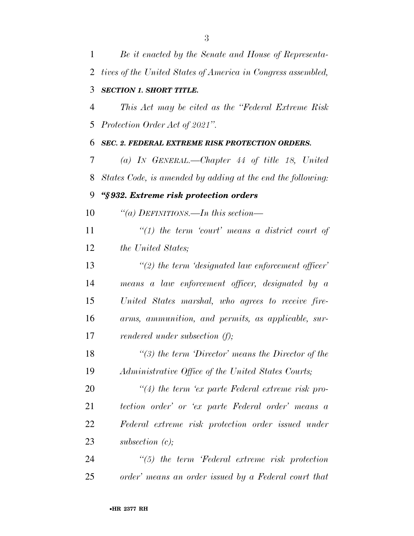*Be it enacted by the Senate and House of Representa- tives of the United States of America in Congress assembled, SECTION 1. SHORT TITLE. This Act may be cited as the ''Federal Extreme Risk Protection Order Act of 2021''. SEC. 2. FEDERAL EXTREME RISK PROTECTION ORDERS. (a) IN GENERAL.—Chapter 44 of title 18, United States Code, is amended by adding at the end the following: ''§ 932. Extreme risk protection orders ''(a) DEFINITIONS.—In this section— ''(1) the term 'court' means a district court of the United States; ''(2) the term 'designated law enforcement officer' means a law enforcement officer, designated by a United States marshal, who agrees to receive fire- arms, ammunition, and permits, as applicable, sur- rendered under subsection (f); ''(3) the term 'Director' means the Director of the Administrative Office of the United States Courts; ''(4) the term 'ex parte Federal extreme risk pro- tection order' or 'ex parte Federal order' means a Federal extreme risk protection order issued under subsection (c); ''(5) the term 'Federal extreme risk protection* 

*order' means an order issued by a Federal court that*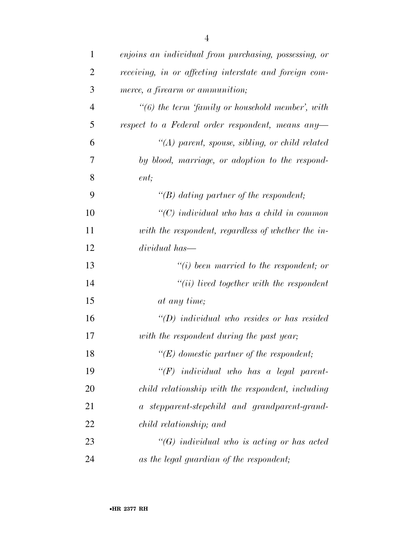| $\mathbf{1}$   | enjoins an individual from purchasing, possessing, or   |
|----------------|---------------------------------------------------------|
| $\overline{2}$ | receiving, in or affecting interstate and foreign com-  |
| 3              | merce, a firearm or ammunition;                         |
| $\overline{4}$ | $\lq\lq(6)$ the term 'family or household member', with |
| 5              | respect to a Federal order respondent, means any-       |
| 6              | $\lq (A)$ parent, spouse, sibling, or child related     |
| 7              | by blood, marriage, or adoption to the respond-         |
| 8              | ent;                                                    |
| 9              | "(B) dating partner of the respondent;                  |
| 10             | $"$ (C) individual who has a child in common            |
| 11             | with the respondent, regardless of whether the in-      |
| 12             | dividual has—                                           |
| 13             | $\lq\lq(i)$ been married to the respondent; or          |
| 14             | $``(ii)$ lived together with the respondent             |
| 15             | at any time;                                            |
| 16             | $\lq\lq D$ individual who resides or has resided        |
| 17             | with the respondent during the past year;               |
| 18             | $\lq\lq(E)$ domestic partner of the respondent;         |
| 19             | $\lq\lq(F)$ individual who has a legal parent-          |
| 20             | child relationship with the respondent, including       |
| 21             | a stepparent-stepchild and grandparent-grand-           |
| 22             | child relationship; and                                 |
| 23             | $\lq\lq(G)$ individual who is acting or has acted       |
| 24             | as the legal guardian of the respondent;                |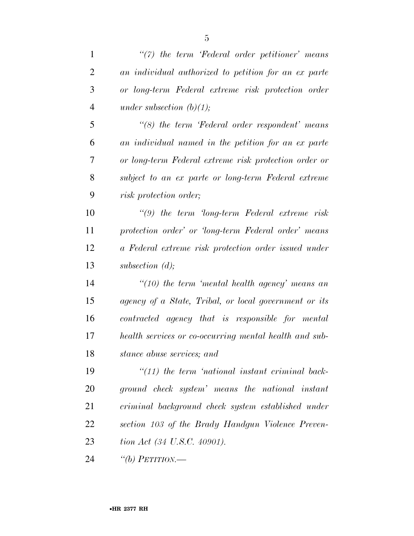| $\mathbf{1}$   | $\lq(7)$ the term 'Federal order petitioner' means        |
|----------------|-----------------------------------------------------------|
| $\overline{2}$ | an individual authorized to petition for an ex parte      |
| 3              | or long-term Federal extreme risk protection order        |
| $\overline{4}$ | under subsection $(b)(1)$ ;                               |
| 5              | $\lq\lq\lq s$ ) the term 'Federal order respondent' means |
| 6              | an individual named in the petition for an ex parte       |
| 7              | or long-term Federal extreme risk protection order or     |
| 8              | subject to an ex parte or long-term Federal extreme       |
| 9              | risk protection order;                                    |
| 10             | $\lq(9)$ the term long-term Federal extreme risk          |
| 11             | protection order' or 'long-term Federal order' means      |
| 12             | a Federal extreme risk protection order issued under      |
| 13             | subsection $(d)$ ;                                        |
| 14             | $\lq(10)$ the term 'mental health agency' means an        |
| 15             | agency of a State, Tribal, or local government or its     |
| 16             | contracted agency that is responsible for mental          |
| 17             | health services or co-occurring mental health and sub-    |
| 18             | stance abuse services; and                                |
| 19             | $\lq(11)$ the term 'national instant criminal back-       |
| <b>20</b>      | ground check system' means the national instant           |
| 21             | criminal background check system established under        |
| 22             | section 103 of the Brady Handgun Violence Preven-         |
| 23             | tion Act (34 U.S.C. 40901).                               |
|                |                                                           |

*''(b) PETITION.—*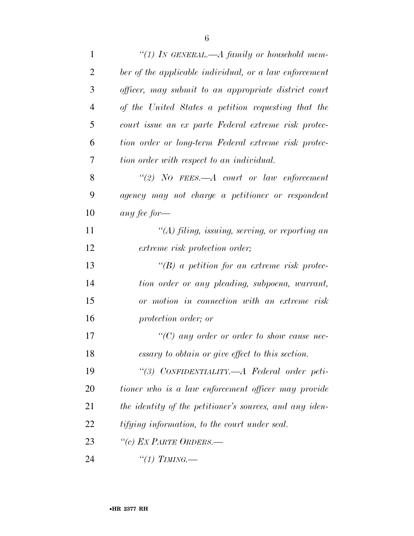| 1              | "(1) In GENERAL.—A family or household mem-             |
|----------------|---------------------------------------------------------|
| $\overline{2}$ | ber of the applicable individual, or a law enforcement  |
| 3              | officer, may submit to an appropriate district court    |
| 4              | of the United States a petition requesting that the     |
| 5              | court issue an ex parte Federal extreme risk protec-    |
| 6              | tion order or long-term Federal extreme risk protec-    |
| 7              | tion order with respect to an individual.               |
| 8              | "(2) NO FEES.— $A$ court or law enforcement             |
| 9              | agency may not charge a petitioner or respondent        |
| 10             | any fee for—                                            |
| 11             | $\lq(A)$ filing, issuing, serving, or reporting an      |
| 12             | extreme risk protection order;                          |
| 13             | $\lq\lq(B)$ a petition for an extreme risk protec-      |
| 14             | tion order or any pleading, subpoena, warrant,          |
| 15             | or motion in connection with an extreme risk            |
| 16             | protection order; or                                    |
| 17             | $\lq\lq(C)$ any order or order to show cause nec-       |
| 18             | essary to obtain or give effect to this section.        |
| 19             | "(3) CONFIDENTIALITY.—A Federal order peti-             |
| 20             | tioner who is a law enforcement officer may provide     |
| 21             | the identity of the petitioner's sources, and any iden- |
| 22             | <i>tifying information, to the court under seal.</i>    |
| 23             | "(c) EX PARTE ORDERS.—                                  |
| 24             | "(1) TIMING.—                                           |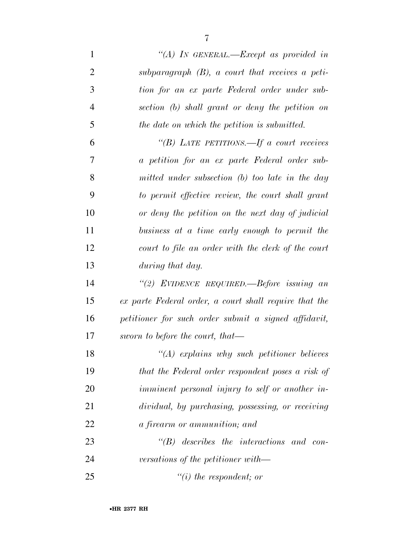| $\mathbf{1}$   | "(A) IN GENERAL.—Except as provided in                 |
|----------------|--------------------------------------------------------|
| $\overline{2}$ | subparagraph $(B)$ , a court that receives a peti-     |
| 3              | tion for an ex parte Federal order under sub-          |
| $\overline{4}$ | section (b) shall grant or deny the petition on        |
| 5              | the date on which the petition is submitted.           |
| 6              | "(B) LATE PETITIONS.—If a court receives               |
| 7              | a petition for an ex parte Federal order sub-          |
| 8              | mitted under subsection (b) too late in the day        |
| 9              | to permit effective review, the court shall grant      |
| 10             | or deny the petition on the next day of judicial       |
| 11             | business at a time early enough to permit the          |
| 12             | court to file an order with the clerk of the court     |
| 13             | during that day.                                       |
| 14             | "(2) EVIDENCE REQUIRED.—Before issuing an              |
| 15             | ex parte Federal order, a court shall require that the |
| 16             | petitioner for such order submit a signed affidavit,   |
| 17             | sworn to before the court, that—                       |
| 18             | $\lq (A)$ explains why such petitioner believes        |
| 19             | that the Federal order respondent poses a risk of      |
| 20             | <i>imminent personal injury to self or another in-</i> |
| 21             | dividual, by purchasing, possessing, or receiving      |
| 22             | a firearm or ammunition; and                           |
| 23             | $\lq\lq B$ describes the interactions and con-         |
| 24             | versations of the petitioner with—                     |
| 25             | $\lq\lq(i)$ the respondent; or                         |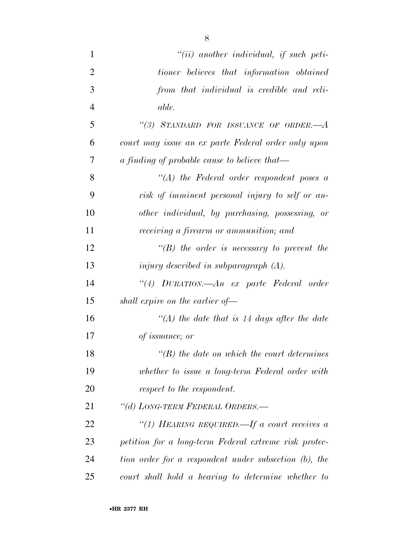| $\mathbf{1}$   | $``(ii)$ another individual, if such peti-            |
|----------------|-------------------------------------------------------|
| $\overline{2}$ | tioner believes that information obtained             |
| 3              | from that individual is credible and reli-            |
| $\overline{4}$ | able.                                                 |
| 5              | "(3) STANDARD FOR ISSUANCE OF ORDER. $-A$             |
| 6              | court may issue an ex parte Federal order only upon   |
| 7              | a finding of probable cause to believe that—          |
| 8              | $"(A)$ the Federal order respondent poses a           |
| 9              | risk of imminent personal injury to self or an-       |
| 10             | other individual, by purchasing, possessing, or       |
| 11             | receiving a firearm or ammunition; and                |
| 12             | $\lq\lq(B)$ the order is necessary to prevent the     |
| 13             | injury described in subparagraph $(A)$ .              |
| 14             | "(4) DURATION.—An ex parte Federal order              |
| 15             | shall expire on the earlier of-                       |
| 16             | "(A) the date that is 14 days after the date          |
| 17             | <i>of issuance</i> ; <i>or</i>                        |
| 18             | $\lq\lq(B)$ the date on which the court determines    |
| 19             | whether to issue a long-term Federal order with       |
| 20             | respect to the respondent.                            |
| 21             | "(d) LONG-TERM FEDERAL ORDERS.-                       |
| 22             | "(1) HEARING REQUIRED.—If a court receives a          |
| 23             | petition for a long-term Federal extreme risk protec- |
| 24             | tion order for a respondent under subsection (b), the |
| 25             | court shall hold a hearing to determine whether to    |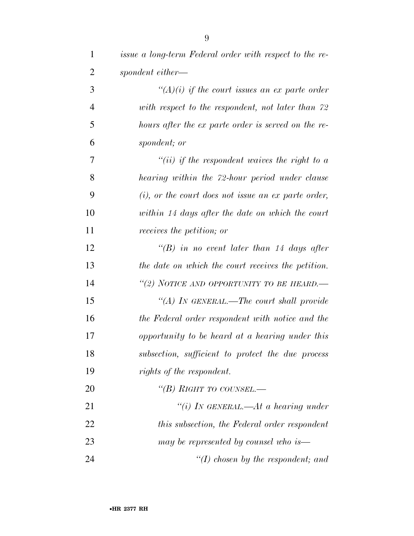| $\mathbf{1}$   | issue a long-term Federal order with respect to the re- |
|----------------|---------------------------------------------------------|
| 2              | spondent either—                                        |
| 3              | $\lq (A)(i)$ if the court issues an ex-parte order      |
| $\overline{4}$ | with respect to the respondent, not later than 72       |
| 5              | hours after the ex parte order is served on the re-     |
| 6              | spondent; or                                            |
| 7              | "(ii) if the respondent waives the right to a           |
| 8              | hearing within the 72-hour period under clause          |
| 9              | $(i)$ , or the court does not issue an ex parte order,  |
| 10             | within 14 days after the date on which the court        |
| 11             | receives the petition; or                               |
| 12             | "(B) in no event later than 14 days after               |
| 13             | the date on which the court receives the petition.      |
| 14             | "(2) NOTICE AND OPPORTUNITY TO BE HEARD.-               |
| 15             | "(A) In GENERAL.—The court shall provide                |
| 16             | the Federal order respondent with notice and the        |
| 17             | opportunity to be heard at a hearing under this         |
| 18             | subsection, sufficient to protect the due process       |
| 19             | rights of the respondent.                               |
| 20             | "(B) RIGHT TO COUNSEL.—                                 |
| 21             | "(i) In GENERAL.—At a hearing under                     |
| 22             | this subsection, the Federal order respondent           |
| 23             | may be represented by counsel who is—                   |
| 24             | $\lq (I)$ chosen by the respondent; and                 |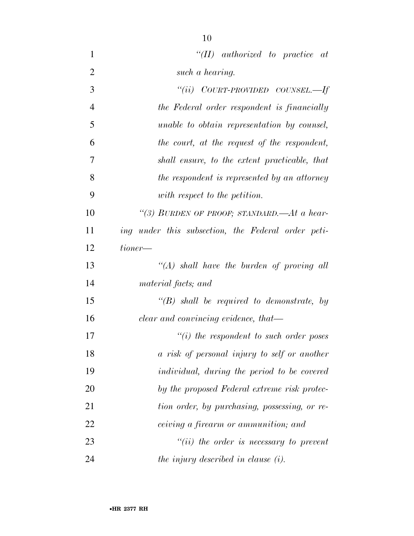| $\mathbf{1}$   | $``(II)$ authorized to practice at                 |
|----------------|----------------------------------------------------|
| $\overline{2}$ | such a hearing.                                    |
| 3              | "(ii) $Courr$ -PROVIDED COUNSEL.—If                |
| $\overline{4}$ | the Federal order respondent is financially        |
| 5              | unable to obtain representation by counsel,        |
| 6              | the court, at the request of the respondent,       |
| 7              | shall ensure, to the extent practicable, that      |
| 8              | the respondent is represented by an attorney       |
| 9              | with respect to the petition.                      |
| 10             | "(3) BURDEN OF PROOF; STANDARD.—At a hear-         |
| 11             | ing under this subsection, the Federal order peti- |
| 12             | tioner—                                            |
| 13             | " $(A)$ shall have the burden of proving all       |
| 14             | material facts; and                                |
| 15             | $\lq\lq(B)$ shall be required to demonstrate, by   |
| 16             | clear and convincing evidence, that—               |
| 17             | $\lq\lq(i)$ the respondent to such order poses     |
| 18             | a risk of personal injury to self or another       |
| 19             | <i>individual, during the period to be covered</i> |
| 20             | by the proposed Federal extreme risk protec-       |
| 21             | tion order, by purchasing, possessing, or re-      |
| 22             | ceiving a firearm or ammunition; and               |
| 23             | $``(ii)$ the order is necessary to prevent         |
| 24             | the injury described in clause $(i)$ .             |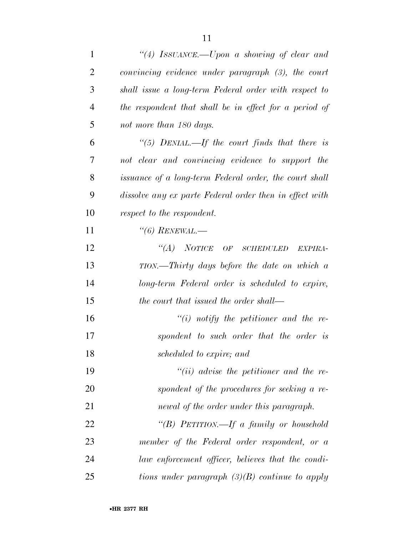| 1              | "(4) ISSUANCE.—Upon a showing of clear and              |
|----------------|---------------------------------------------------------|
| $\overline{2}$ | convincing evidence under paragraph $(3)$ , the court   |
| 3              | shall issue a long-term Federal order with respect to   |
| $\overline{4}$ | the respondent that shall be in effect for a period of  |
| 5              | not more than 180 days.                                 |
| 6              | "(5) DENIAL.—If the court finds that there is           |
| 7              | not clear and convincing evidence to support the        |
| 8              | issuance of a long-term Federal order, the court shall  |
| 9              | dissolve any ex parte Federal order then in effect with |
| 10             | respect to the respondent.                              |
| 11             | $\lq\lq (6)$ RENEWAL.—                                  |
| 12             | $\lq\lq (A)$ NOTICE OF SCHEDULED<br>EXPIRA-             |
| 13             | $TION$ —Thirty days before the date on which a          |
| 14             | long-term Federal order is scheduled to expire,         |
| 15             | the court that issued the order shall—                  |
| 16             | $``(i)$ notify the petitioner and the re-               |
| 17             | spondent to such order that the order is                |
| 18             | scheduled to expire; and                                |
| 19             | $``(ii)$ advise the petitioner and the re-              |
| 20             | spondent of the procedures for seeking a re-            |
| 21             | newal of the order under this paragraph.                |
| 22             | "(B) PETITION.—If a family or household                 |
| 23             | member of the Federal order respondent, or a            |
| 24             | law enforcement officer, believes that the condi-       |
| 25             | tions under paragraph $(3)(B)$ continue to apply        |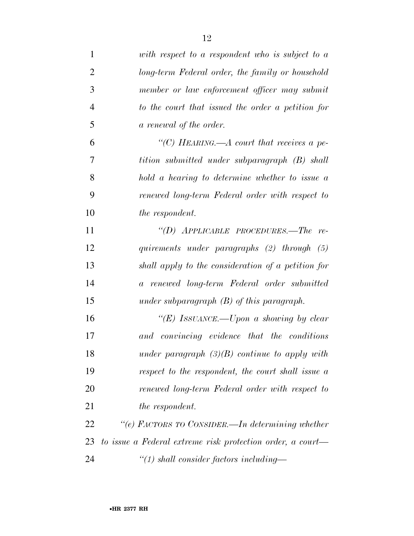| $\mathbf{1}$   | with respect to a respondent who is subject to a           |
|----------------|------------------------------------------------------------|
| $\overline{2}$ | long-term Federal order, the family or household           |
| 3              | member or law enforcement officer may submit               |
| $\overline{4}$ | to the court that issued the order a petition for          |
| 5              | a renewal of the order.                                    |
| 6              | "(C) HEARING.—A court that receives a pe-                  |
| $\overline{7}$ | tition submitted under subparagraph (B) shall              |
| 8              | hold a hearing to determine whether to issue a             |
| 9              | renewed long-term Federal order with respect to            |
| 10             | <i>the respondent.</i>                                     |
| 11             | "(D) APPLICABLE PROCEDURES.—The re-                        |
| 12             | quirements under paragraphs $(2)$ through $(5)$            |
| 13             | shall apply to the consideration of a petition for         |
| 14             | a renewed long-term Federal order submitted                |
| 15             | under subparagraph $(B)$ of this paragraph.                |
| 16             | "(E) ISSUANCE.—Upon a showing by clear                     |
| 17             | and convincing evidence that the conditions                |
| 18             | under paragraph $(3)(B)$ continue to apply with            |
| 19             | respect to the respondent, the court shall issue a         |
| 20             | renewed long-term Federal order with respect to            |
| 21             | <i>the respondent.</i>                                     |
| 22             | "(e) FACTORS TO CONSIDER.—In determining whether           |
| 23             | to issue a Federal extreme risk protection order, a court— |
| 24             | $\lq (1)$ shall consider factors including—                |
|                |                                                            |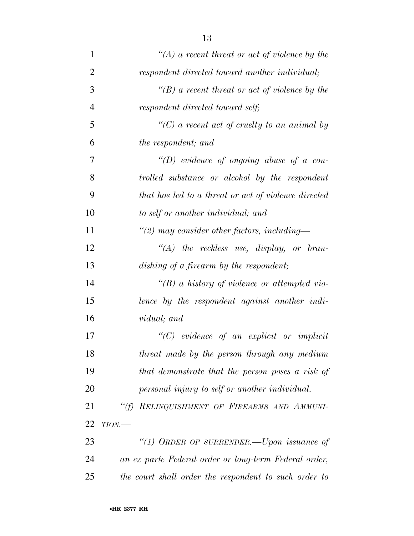| $\mathbf{1}$   | $\lq (A)$ a recent threat or act of violence by the   |
|----------------|-------------------------------------------------------|
| $\overline{2}$ | respondent directed toward another individual;        |
| 3              | $\lq\lq(B)$ a recent threat or act of violence by the |
| $\overline{4}$ | respondent directed toward self;                      |
| 5              | $\lq\lq C$ a recent act of cruelty to an animal by    |
| 6              | the respondent; and                                   |
| 7              | $\lq (D)$ evidence of ongoing abuse of a con-         |
| 8              | trolled substance or alcohol by the respondent        |
| 9              | that has led to a threat or act of violence directed  |
| 10             | to self or another individual; and                    |
| 11             | $\lq(2)$ may consider other factors, including—       |
| 12             | " $(A)$ the reckless use, display, or bran-           |
| 13             | dishing of a firearm by the respondent;               |
| 14             | $\lq\lq(B)$ a history of violence or attempted vio-   |
| 15             | lence by the respondent against another indi-         |
| 16             | <i>vidual</i> ; and                                   |
| 17             | $\lq\lq C$ evidence of an explicit or implicit        |
| 18             | threat made by the person through any medium          |
| 19             | that demonstrate that the person poses a risk of      |
| 20             | personal injury to self or another individual.        |
| 21             | "(f) RELINQUISHMENT OF FIREARMS AND AMMUNI-           |
| 22             | $TION$ —                                              |
| 23             | "(1) ORDER OF SURRENDER.—Upon issuance of             |
| 24             | an ex parte Federal order or long-term Federal order, |
| 25             | the court shall order the respondent to such order to |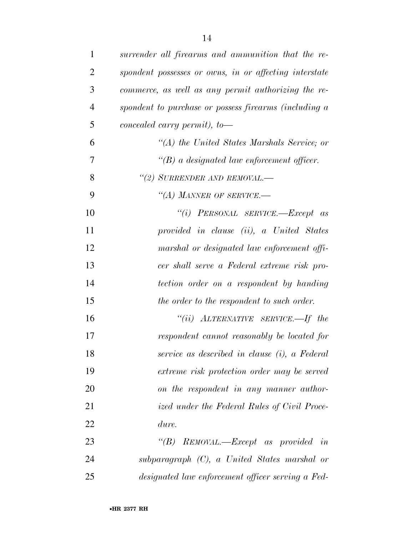| $\mathbf{1}$   | surrender all firearms and ammunition that the re-     |
|----------------|--------------------------------------------------------|
| $\overline{2}$ | spondent possesses or owns, in or affecting interstate |
| 3              | commerce, as well as any permit authorizing the re-    |
| $\overline{4}$ | spondent to purchase or possess firearms (including a  |
| 5              | concealed carry permit, to—                            |
| 6              | "(A) the United States Marshals Service; or            |
| 7              | $\lq (B)$ a designated law enforcement officer.        |
| 8              | $``(2)$ SURRENDER AND REMOVAL.-                        |
| 9              | "(A) MANNER OF SERVICE.-                               |
| 10             | "(i) PERSONAL SERVICE.-Except as                       |
| 11             | provided in clause (ii), a United States               |
| 12             | marshal or designated law enforcement offi-            |
| 13             | cer shall serve a Federal extreme risk pro-            |
| 14             | tection order on a respondent by handing               |
| 15             | the order to the respondent to such order.             |
| 16             | "(ii) $A$ LTERNATIVE SERVICE.—If the                   |
| 17             | respondent cannot reasonably be located for            |
| 18             | service as described in clause (i), a Federal          |
| 19             | extreme risk protection order may be served            |
| 20             | on the respondent in any manner author-                |
| 21             | ized under the Federal Rules of Civil Proce-           |
| 22             | dure.                                                  |
| 23             | "(B) REMOVAL.—Except as provided in                    |
| 24             | subparagraph $(C)$ , a United States marshal or        |
| 25             | designated law enforcement officer serving a Fed-      |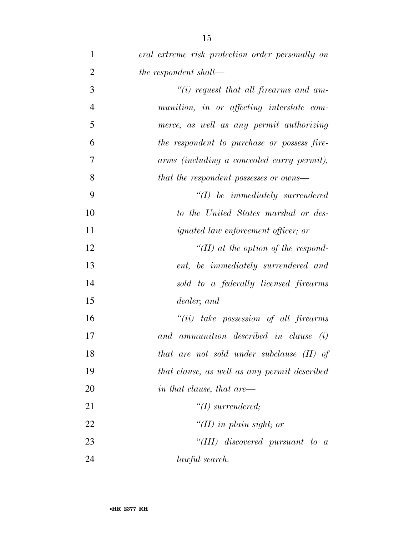| $\mathbf{1}$   | eral extreme risk protection order personally on   |
|----------------|----------------------------------------------------|
| $\overline{2}$ | <i>the respondent shall—</i>                       |
| 3              | $\lq\lq(i)$ request that all firearms and am-      |
| $\overline{4}$ | munition, in or affecting interstate com-          |
| 5              | merce, as well as any permit authorizing           |
| 6              | the respondent to purchase or possess fire-        |
| 7              | arms (including a concealed carry permit),         |
| 8              | that the respondent possesses or owns—             |
| 9              | $``(I)$ be immediately surrendered                 |
| 10             | to the United States marshal or des-               |
| 11             | <i>ignated law enforcement officer</i> ; <i>or</i> |
| 12             | "(II) at the option of the respond-                |
| 13             | ent, be immediately surrendered and                |
| 14             | sold to a federally licensed firearms              |
| 15             | dealer; and                                        |
| 16             | $``(ii)$ take possession of all firearms           |
| 17             | and ammunition described in clause (i)             |
| 18             | that are not sold under subclause $(II)$ of        |
| 19             | that clause, as well as any permit described       |
| 20             | in that clause, that are—                          |
| 21             | $\lq (I) \; surrounded;$                           |
| 22             | "(II) in plain sight; or                           |
| 23             | "(III) discovered pursuant to $a$                  |
| 24             | lawful search.                                     |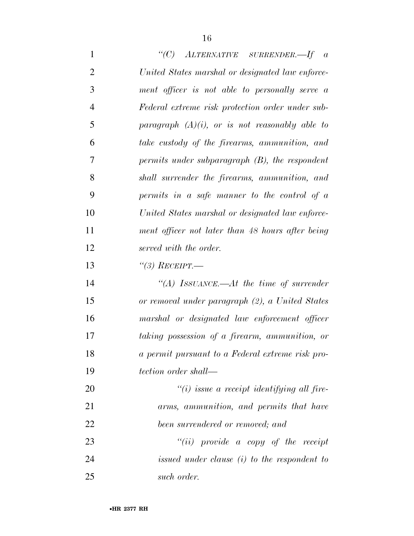*''(C) ALTERNATIVE SURRENDER.—If a United States marshal or designated law enforce- ment officer is not able to personally serve a Federal extreme risk protection order under sub- paragraph (A)(i), or is not reasonably able to take custody of the firearms, ammunition, and permits under subparagraph (B), the respondent shall surrender the firearms, ammunition, and permits in a safe manner to the control of a United States marshal or designated law enforce- ment officer not later than 48 hours after being served with the order. ''(3) RECEIPT.— ''(A) ISSUANCE.—At the time of surrender or removal under paragraph (2), a United States marshal or designated law enforcement officer taking possession of a firearm, ammunition, or a permit pursuant to a Federal extreme risk pro- tection order shall— ''(i) issue a receipt identifying all fire- arms, ammunition, and permits that have been surrendered or removed; and ''(ii) provide a copy of the receipt issued under clause (i) to the respondent to such order.*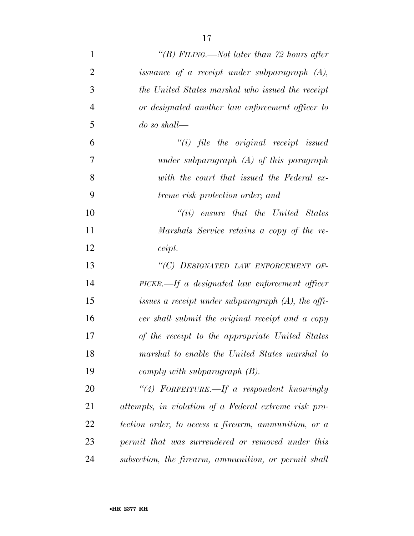| $\mathbf{1}$   | "(B) FILING.—Not later than 72 hours after            |
|----------------|-------------------------------------------------------|
| $\overline{2}$ | issuance of a receipt under subparagraph $(A)$ ,      |
| 3              | the United States marshal who issued the receipt      |
| $\overline{4}$ | or designated another law enforcement officer to      |
| 5              | $\omega$ so shall—                                    |
| 6              | $``(i)$ file the original receipt issued              |
| $\overline{7}$ | under subparagraph $(A)$ of this paragraph            |
| 8              | with the court that issued the Federal ex-            |
| 9              | <i>treme risk protection order; and</i>               |
| 10             | $``(ii)$ ensure that the United States                |
| 11             | Marshals Service retains a copy of the re-            |
| 12             | ceipt.                                                |
| 13             | "(C) DESIGNATED LAW ENFORCEMENT OF-                   |
| 14             | $FICER$ .—If a designated law enforcement officer     |
| 15             | issues a receipt under subparagraph $(A)$ , the offi- |
| 16             | cer shall submit the original receipt and a copy      |
| 17             | of the receipt to the appropriate United States       |
| 18             | marshal to enable the United States marshal to        |
| 19             | comply with subparagraph $(B)$ .                      |
| 20             | "(4) FORFEITURE.—If a respondent knowingly            |
| 21             | attempts, in violation of a Federal extreme risk pro- |
| 22             | tection order, to access a firearm, ammunition, or a  |
| 23             | permit that was surrendered or removed under this     |
| 24             | subsection, the firearm, ammunition, or permit shall  |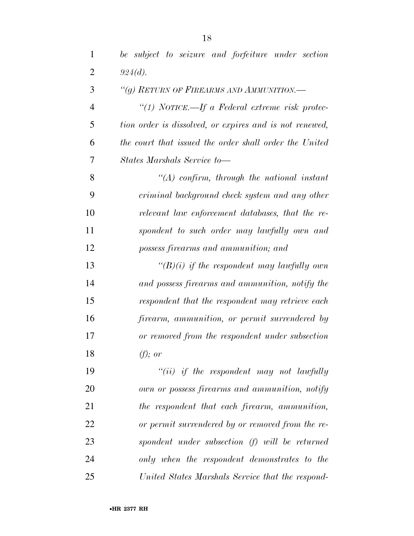| $\mathbf{1}$   | be subject to seizure and forfeiture under section      |
|----------------|---------------------------------------------------------|
| $\overline{2}$ | 924(d).                                                 |
| 3              | "(g) RETURN OF FIREARMS AND AMMUNITION.-                |
| $\overline{4}$ | "(1) NOTICE.—If a Federal extreme risk protec-          |
| 5              | tion order is dissolved, or expires and is not renewed, |
| 6              | the court that issued the order shall order the United  |
| 7              | States Marshals Service to-                             |
| 8              | $\lq (A)$ confirm, through the national instant         |
| 9              | criminal background check system and any other          |
| 10             | relevant law enforcement databases, that the re-        |
| 11             | spondent to such order may lawfully own and             |
| 12             | possess firearms and ammunition; and                    |
| 13             | $\lq\lq(B)(i)$ if the respondent may lawfully own       |
| 14             | and possess firearms and ammunition, notify the         |
| 15             | respondent that the respondent may retrieve each        |
| 16             | firearm, ammunition, or permit surrendered by           |
| 17             | or removed from the respondent under subsection         |
| 18             | $(f);$ or                                               |
| 19             | $``(ii)$ if the respondent may not lawfully             |
| 20             | own or possess firearms and ammunition, notify          |
| 21             | the respondent that each firearm, ammunition,           |
| 22             | or permit surrendered by or removed from the re-        |
| 23             | spondent under subsection (f) will be returned          |
| 24             | only when the respondent demonstrates to the            |
| 25             | United States Marshals Service that the respond-        |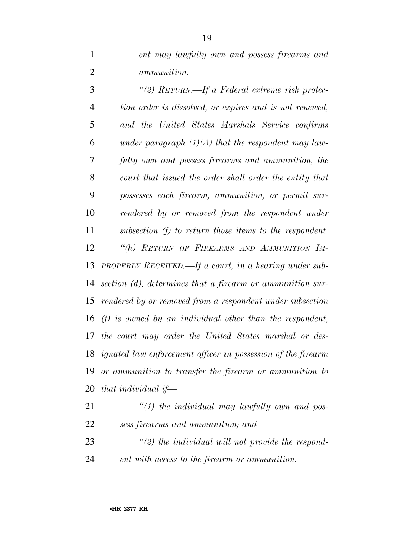*ent may lawfully own and possess firearms and ammunition.* 

 *''(2) RETURN.—If a Federal extreme risk protec- tion order is dissolved, or expires and is not renewed, and the United States Marshals Service confirms under paragraph (1)(A) that the respondent may law- fully own and possess firearms and ammunition, the court that issued the order shall order the entity that possesses each firearm, ammunition, or permit sur- rendered by or removed from the respondent under subsection (f) to return those items to the respondent. ''(h) RETURN OF FIREARMS AND AMMUNITION IM- PROPERLY RECEIVED.—If a court, in a hearing under sub- section (d), determines that a firearm or ammunition sur- rendered by or removed from a respondent under subsection (f) is owned by an individual other than the respondent, the court may order the United States marshal or des- ignated law enforcement officer in possession of the firearm or ammunition to transfer the firearm or ammunition to that individual if—* 

- *''(1) the individual may lawfully own and pos-sess firearms and ammunition; and*
- *''(2) the individual will not provide the respond-ent with access to the firearm or ammunition.*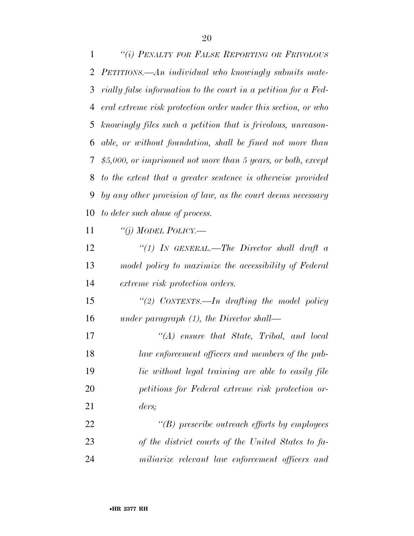*''(i) PENALTY FOR FALSE REPORTING OR FRIVOLOUS PETITIONS.—An individual who knowingly submits mate- rially false information to the court in a petition for a Fed- eral extreme risk protection order under this section, or who knowingly files such a petition that is frivolous, unreason- able, or without foundation, shall be fined not more than \$5,000, or imprisoned not more than 5 years, or both, except to the extent that a greater sentence is otherwise provided by any other provision of law, as the court deems necessary to deter such abuse of process.* 

*''(j) MODEL POLICY.—* 

 *''(1) IN GENERAL.—The Director shall draft a model policy to maximize the accessibility of Federal extreme risk protection orders.* 

 *''(2) CONTENTS.—In drafting the model policy under paragraph (1), the Director shall—* 

 *''(A) ensure that State, Tribal, and local law enforcement officers and members of the pub- lic without legal training are able to easily file petitions for Federal extreme risk protection or-ders;* 

 *''(B) prescribe outreach efforts by employees of the district courts of the United States to fa-miliarize relevant law enforcement officers and*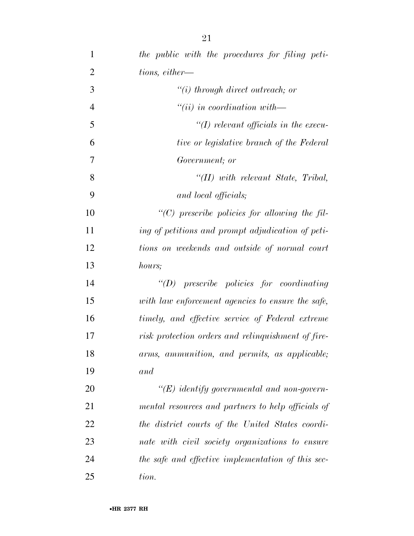| $\mathbf{1}$   | the public with the procedures for filing peti-    |
|----------------|----------------------------------------------------|
| $\overline{2}$ | tions, either—                                     |
| 3              | $``(i)$ through direct outreach; or                |
| $\overline{4}$ | $``(ii)$ in coordination with—                     |
| 5              | $\lq (I)$ relevant officials in the execu-         |
| 6              | tive or legislative branch of the Federal          |
| 7              | Government; or                                     |
| 8              | $``(II)$ with relevant State, Tribal,              |
| 9              | and local officials;                               |
| 10             | $"$ (C) prescribe policies for allowing the fil-   |
| 11             | ing of petitions and prompt adjudication of peti-  |
| 12             | tions on weekends and outside of normal court      |
| 13             | hours;                                             |
| 14             | $"(D)$ prescribe policies for coordinating         |
| 15             | with law enforcement agencies to ensure the safe,  |
| 16             | timely, and effective service of Federal extreme   |
| 17             | risk protection orders and relinquishment of fire- |
| 18             | arms, ammunition, and permits, as applicable;      |
| 19             | and                                                |
| 20             | $\lq\lq (E)$ identify governmental and non-govern- |
| 21             | mental resources and partners to help officials of |
| 22             | the district courts of the United States coordi-   |
| 23             | nate with civil society organizations to ensure    |
| 24             | the safe and effective implementation of this sec- |
| 25             | tion.                                              |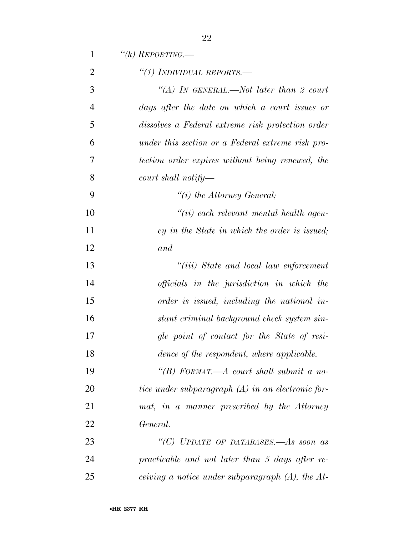| $\overline{2}$ | "(1) INDIVIDUAL REPORTS.—                           |
|----------------|-----------------------------------------------------|
| 3              | "(A) IN GENERAL.—Not later than 2 court             |
| $\overline{4}$ | days after the date on which a court issues or      |
| 5              | dissolves a Federal extreme risk protection order   |
| 6              | under this section or a Federal extreme risk pro-   |
| 7              | tection order expires without being renewed, the    |
| 8              | court shall notify—                                 |
| 9              | $"(i)$ the Attorney General;                        |
| 10             | $``(ii)$ each relevant mental health agen-          |
| 11             | cy in the State in which the order is issued;       |
| 12             | and                                                 |
| 13             | $``(iii)$ State and local law enforcement           |
| 14             | officials in the jurisdiction in which the          |
| 15             | order is issued, including the national in-         |
| 16             | stant criminal background check system sin-         |
| 17             | gle point of contact for the State of resi-         |
| 18             | dence of the respondent, where applicable.          |
| 19             | "(B) FORMAT.—A court shall submit a no-             |
| 20             | tice under subparagraph (A) in an electronic for-   |
| 21             | mat, in a manner prescribed by the Attorney         |
| 22             | General.                                            |
| 23             | "(C) UPDATE OF DATABASES.-As soon as                |
| 24             | practicable and not later than 5 days after re-     |
| 25             | ceiving a notice under subparagraph $(A)$ , the At- |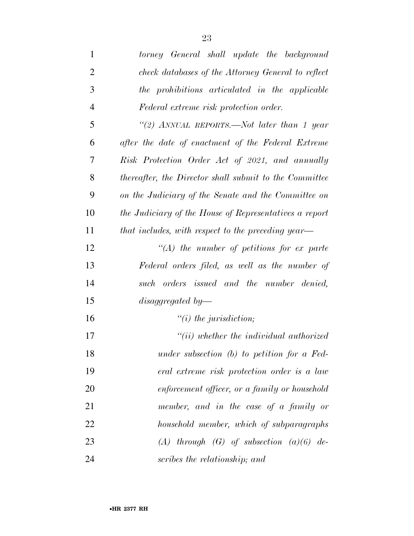| $\mathbf{1}$   | torney General shall update the background             |
|----------------|--------------------------------------------------------|
| $\overline{2}$ | check databases of the Attorney General to reflect     |
| 3              | the prohibitions articulated in the applicable         |
| $\overline{4}$ | Federal extreme risk protection order.                 |
| 5              | "(2) ANNUAL REPORTS.—Not later than 1 year             |
| 6              | after the date of enactment of the Federal Extreme     |
| 7              | Risk Protection Order Act of 2021, and annually        |
| 8              | thereafter, the Director shall submit to the Committee |
| 9              | on the Judiciary of the Senate and the Committee on    |
| 10             | the Judiciary of the House of Representatives a report |
| 11             | that includes, with respect to the preceding year—     |
| 12             | $\lq (A)$ the number of petitions for ex parte         |
| 13             | Federal orders filed, as well as the number of         |
| 14             | such orders issued and the number denied,              |
| 15             | $disaggered$ by-                                       |
| 16             | $\lq\lq(i)$ the jurisdiction;                          |
| 17             | $``(ii)$ whether the individual authorized             |
| 18             | under subsection $(b)$ to petition for a Fed-          |
| 19             | eral extreme risk protection order is a law            |
| 20             | enforcement officer, or a family or household          |
| 21             | member, and in the case of a family or                 |
| 22             | household member, which of subparagraphs               |
| 23             | $(A)$ through $(G)$ of subsection $(a)(6)$ de-         |
| 24             | scribes the relationship; and                          |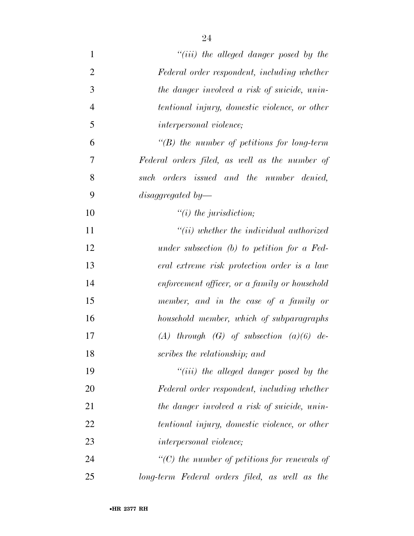| $\mathbf{1}$   | "(iii) the alleged danger posed by the            |
|----------------|---------------------------------------------------|
| $\overline{2}$ | Federal order respondent, including whether       |
| 3              | the danger involved a risk of suicide, unin-      |
| $\overline{4}$ | tentional injury, domestic violence, or other     |
| 5              | interpersonal violence;                           |
| 6              | $\lq\lq(B)$ the number of petitions for long-term |
| 7              | Federal orders filed, as well as the number of    |
| 8              | such orders issued and the number denied,         |
| 9              | $disaggered$ by—                                  |
| 10             | $"(i)$ the jurisdiction;                          |
| 11             | $``(ii)$ whether the individual authorized        |
| 12             | under subsection $(b)$ to petition for a Fed-     |
| 13             | eral extreme risk protection order is a law       |
| 14             | enforcement officer, or a family or household     |
| 15             | member, and in the case of a family or            |
| 16             | household member, which of subparagraphs          |
| 17             | $(A)$ through $(G)$ of subsection $(a)(6)$ de-    |
| 18             | scribes the relationship; and                     |
| 19             | $``(iii)$ the alleged danger posed by the         |
| 20             | Federal order respondent, including whether       |
| 21             | the danger involved a risk of suicide, unin-      |
| 22             | tentional injury, domestic violence, or other     |
| 23             | interpersonal violence;                           |
| 24             | $\lq\lq$ the number of petitions for renewals of  |
| 25             | long-term Federal orders filed, as well as the    |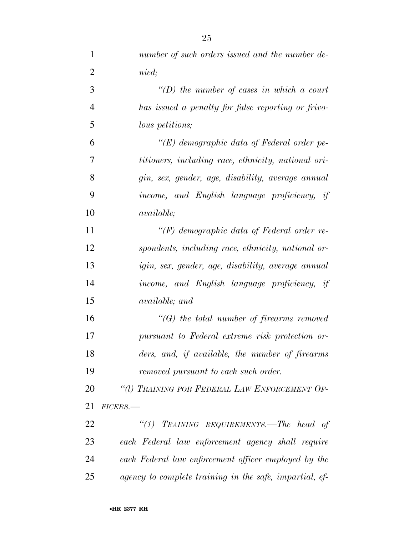| $\mathbf{1}$   | number of such orders issued and the number de-         |
|----------------|---------------------------------------------------------|
| $\overline{2}$ | <i>nied</i> ;                                           |
| 3              | "(D) the number of cases in which a court               |
| $\overline{4}$ | has issued a penalty for false reporting or frivo-      |
| 5              | <i>lous petitions;</i>                                  |
| 6              | $\lq\lq (E)$ demographic data of Federal order pe-      |
| 7              | titioners, including race, ethnicity, national ori-     |
| 8              | gin, sex, gender, age, disability, average annual       |
| 9              | income, and English language proficiency, if            |
| 10             | <i>available</i> ;                                      |
| 11             | $\lq\lq(F)$ demographic data of Federal order re-       |
| 12             | spondents, including race, ethnicity, national or-      |
| 13             | igin, sex, gender, age, disability, average annual      |
| 14             | income, and English language proficiency, if            |
| 15             | available; and                                          |
| 16             | $\lq\lq(G)$ the total number of firearms removed        |
| 17             | pursuant to Federal extreme risk protection or-         |
| 18             | ders, and, if available, the number of firearms         |
| 19             | removed pursuant to each such order.                    |
| 20             | "(1) TRAINING FOR FEDERAL LAW ENFORCEMENT OF-           |
| 21             | $FICERS$ .                                              |
| 22             | "(1) TRAINING REQUIREMENTS.—The head of                 |
| 23             | each Federal law enforcement agency shall require       |
| 24             | each Federal law enforcement officer employed by the    |
| 25             | agency to complete training in the safe, impartial, ef- |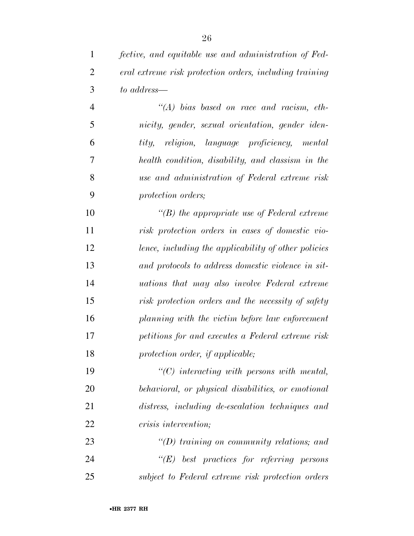*fective, and equitable use and administration of Fed- eral extreme risk protection orders, including training to address—* 

 *''(A) bias based on race and racism, eth- nicity, gender, sexual orientation, gender iden- tity, religion, language proficiency, mental health condition, disability, and classism in the use and administration of Federal extreme risk protection orders;* 

 *''(B) the appropriate use of Federal extreme risk protection orders in cases of domestic vio- lence, including the applicability of other policies and protocols to address domestic violence in sit- uations that may also involve Federal extreme risk protection orders and the necessity of safety planning with the victim before law enforcement petitions for and executes a Federal extreme risk protection order, if applicable;* 

 *''(C) interacting with persons with mental, behavioral, or physical disabilities, or emotional distress, including de-escalation techniques and crisis intervention;* 

 *''(D) training on community relations; and ''(E) best practices for referring persons subject to Federal extreme risk protection orders*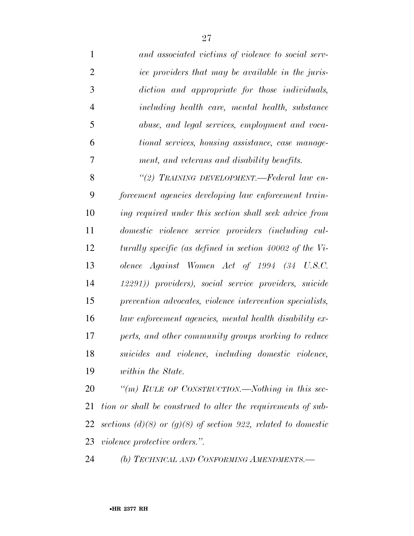| $\mathbf{1}$   | and associated victims of violence to social serv-            |
|----------------|---------------------------------------------------------------|
| $\overline{2}$ | <i>ice providers that may be available in the juris-</i>      |
| 3              | diction and appropriate for those individuals,                |
| $\overline{4}$ | including health care, mental health, substance               |
| 5              | abuse, and legal services, employment and voca-               |
| 6              | tional services, housing assistance, case manage-             |
| 7              | ment, and veterans and disability benefits.                   |
| 8              | "(2) TRAINING DEVELOPMENT.—Federal law en-                    |
| 9              | forcement agencies developing law enforcement train-          |
| 10             | ing required under this section shall seek advice from        |
| 11             | domestic violence service providers (including cul-           |
| 12             | turally specific (as defined in section 40002 of the Vi-      |
| 13             | olence Against Women Act of 1994 (34 U.S.C.                   |
| 14             | 12291)) providers), social service providers, suicide         |
| 15             | prevention advocates, violence intervention specialists,      |
| 16             | law enforcement agencies, mental health disability ex-        |
| 17             | perts, and other community groups working to reduce           |
| 18             | suicides and violence, including domestic violence,           |
| 19             | within the State.                                             |
| 20             | "(m) RULE OF CONSTRUCTION.—Nothing in this sec-               |
| 21             | tion or shall be construed to alter the requirements of sub-  |
| 22             | sections (d)(8) or (g)(8) of section 922, related to domestic |
|                | 23 violence protective orders.".                              |

*(b) TECHNICAL AND CONFORMING AMENDMENTS.—*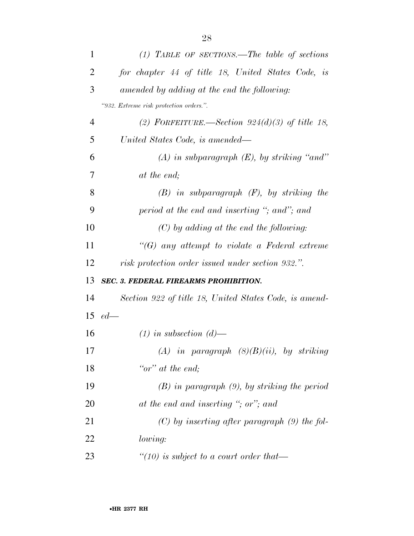| $\mathbf{1}$   | $(1)$ TABLE OF SECTIONS.—The table of sections         |
|----------------|--------------------------------------------------------|
| $\overline{2}$ | for chapter 44 of title 18, United States Code, is     |
| 3              | amended by adding at the end the following:            |
|                | "932. Extreme risk protection orders.".                |
| $\overline{4}$ | (2) FORFEITURE.—Section $924(d)(3)$ of title 18,       |
| 5              | United States Code, is amended—                        |
| 6              | $(A)$ in subparagraph $(E)$ , by striking "and"        |
| 7              | at the end;                                            |
| 8              | $(B)$ in subparagraph $(F)$ , by striking the          |
| 9              | period at the end and inserting "; and"; and           |
| 10             | $(C)$ by adding at the end the following:              |
| 11             | $\lq\lq(G)$ any attempt to violate a Federal extreme   |
|                |                                                        |
| 12             | risk protection order issued under section 932.".      |
| 13             | <b>SEC. 3. FEDERAL FIREARMS PROHIBITION.</b>           |
|                | Section 922 of title 18, United States Code, is amend- |
| 14             | $15$ ed $-$                                            |
| 16             | $(1)$ in subsection $(d)$ —                            |
| 17             | (A) in paragraph $(8)(B)(ii)$ , by striking            |
|                | "or" at the end;                                       |
| 18<br>19       | $(B)$ in paragraph $(9)$ , by striking the period      |
| 20             | at the end and inserting "; or"; and                   |
| 21             | $(C)$ by inserting after paragraph $(9)$ the fol-      |
| 22             | <i>lowing:</i>                                         |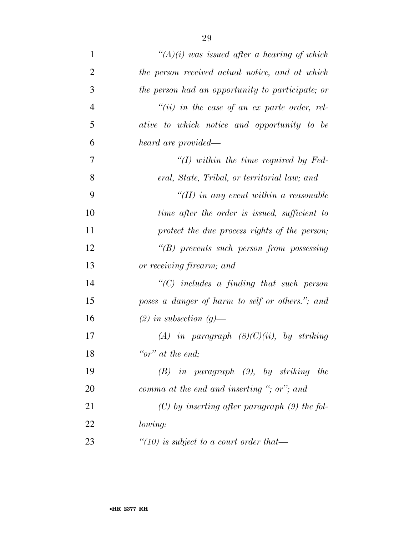| $\mathbf{1}$   | $\lq (A)(i)$ was issued after a hearing of which  |
|----------------|---------------------------------------------------|
| $\overline{2}$ | the person received actual notice, and at which   |
| 3              | the person had an opportunity to participate; or  |
| $\overline{4}$ | $``(ii)$ in the case of an ex parte order, rel-   |
| 5              | ative to which notice and opportunity to be       |
| 6              | heard are provided—                               |
| 7              | " $(I)$ within the time required by Fed-          |
| 8              | eral, State, Tribal, or territorial law; and      |
| 9              | $\lq (II)$ in any event within a reasonable       |
| 10             | time after the order is issued, sufficient to     |
| 11             | protect the due process rights of the person;     |
| 12             | $\lq\lq(B)$ prevents such person from possessing  |
| 13             | or receiving firearm; and                         |
| 14             | $\lq\lq C$ includes a finding that such person    |
| 15             | poses a danger of harm to self or others."; and   |
| 16             | $(2)$ in subsection $(g)$ —                       |
| 17             | (A) in paragraph $(8)(C)(ii)$ , by striking       |
| 18             | "or" at the end;                                  |
| 19             | $(B)$ in paragraph $(9)$ , by striking the        |
| 20             | comma at the end and inserting "; or"; and        |
| 21             | $(C)$ by inserting after paragraph $(9)$ the fol- |
| 22             | <i>lowing:</i>                                    |
| 23             | "(10) is subject to a court order that—           |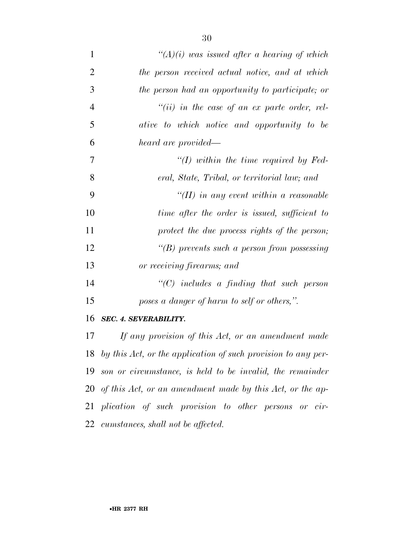| $\mathbf{1}$   | $\lq (A)(i)$ was issued after a hearing of which                 |
|----------------|------------------------------------------------------------------|
| $\overline{2}$ | the person received actual notice, and at which                  |
| 3              | the person had an opportunity to participate; or                 |
| $\overline{4}$ | $``(ii)$ in the case of an ex parte order, rel-                  |
| 5              | ative to which notice and opportunity to be                      |
| 6              | heard are provided—                                              |
| 7              | $\lq (I)$ within the time required by Fed-                       |
| 8              | eral, State, Tribal, or territorial law; and                     |
| 9              | $``(II)$ in any event within a reasonable                        |
| 10             | time after the order is issued, sufficient to                    |
| 11             | protect the due process rights of the person;                    |
| 12             | " $(B)$ prevents such a person from possessing                   |
| 13             | or receiving firearms; and                                       |
| 14             | $"(C)$ includes a finding that such person                       |
| 15             | poses a danger of harm to self or others,".                      |
| 16             | <b>SEC. 4. SEVERABILITY.</b>                                     |
| 17             | If any provision of this Act, or an amendment made               |
|                | 18 by this Act, or the application of such provision to any per- |
|                | 19 son or circumstance, is held to be invalid, the remainder     |
|                | 20 of this Act, or an amendment made by this Act, or the ap-     |
| 21             | plication of such provision to other persons or cir-             |
|                | 22 cumstances, shall not be affected.                            |
|                |                                                                  |
|                |                                                                  |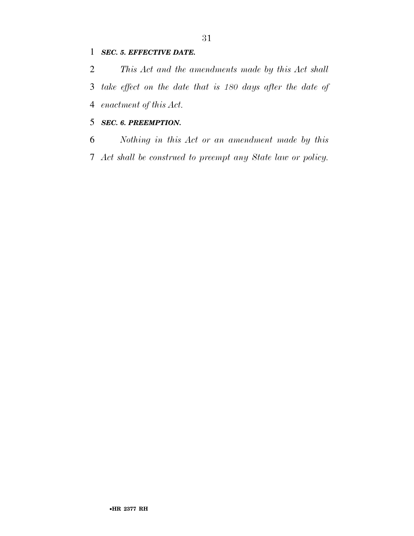## *SEC. 5. EFFECTIVE DATE.*

 *This Act and the amendments made by this Act shall take effect on the date that is 180 days after the date of enactment of this Act.* 

### *SEC. 6. PREEMPTION.*

 *Nothing in this Act or an amendment made by this Act shall be construed to preempt any State law or policy.*